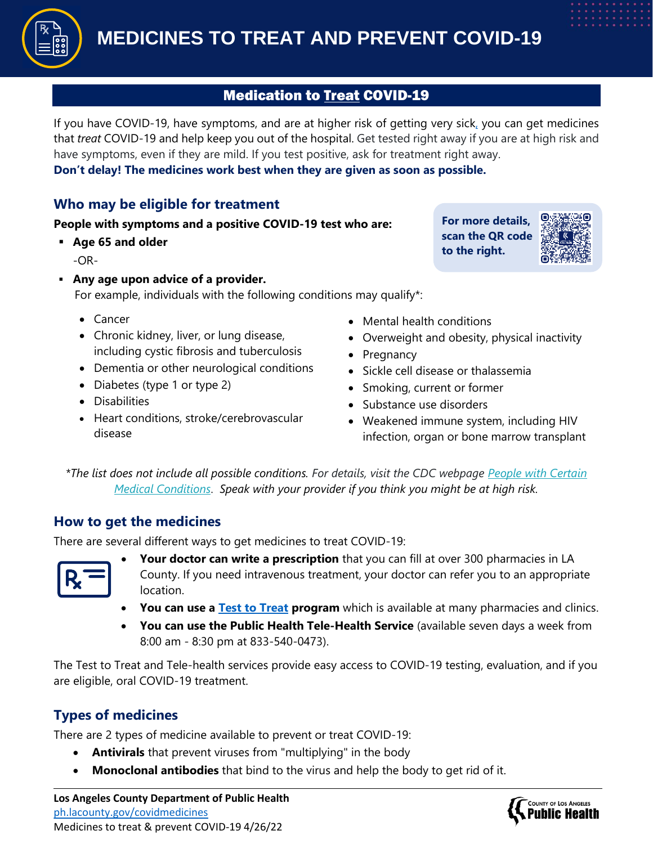

## **Medication to Treat COVID-19**

If you have COVID-19, have symptoms, and are at higher risk of getting very sick, you can get medicines that *treat* COVID-19 and help keep you out of the hospital. Get tested right away if you are at high risk and have symptoms, even if they are mild. If you test positive, ask for treatment right away.

**Don't delay! The medicines work best when they are given as soon as possible.**

## **Who may be eligible for treatment**

#### **People with symptoms and a positive COVID-19 test who are:**

▪ **Age 65 and older**

 $-OR-$ 

▪ **Any age upon advice of a provider.**

For example, individuals with the following conditions may qualify\*:

- Cancer
- Chronic kidney, liver, or lung disease, including cystic fibrosis and tuberculosis
- Dementia or other neurological conditions
- Diabetes (type 1 or type 2)
- Disabilities
- Heart conditions, stroke/cerebrovascular disease

**For more details, scan the QR code to the right.**



- Mental health conditions
- Overweight and obesity, physical inactivity
- Pregnancy
- Sickle cell disease or thalassemia
- Smoking, current or former
- Substance use disorders
- Weakened immune system, including HIV infection, organ or bone marrow transplant

*\*The list does not include all possible conditions. For details, visit the CDC webpage [People with Certain](https://www.cdc.gov/coronavirus/2019-ncov/need-extra-precautions/people-with-medical-conditions.html)  [Medical Conditions](https://www.cdc.gov/coronavirus/2019-ncov/need-extra-precautions/people-with-medical-conditions.html)*. *Speak with your provider if you think you might be at high risk.* 

### **How to get the medicines**

There are several different ways to get medicines to treat COVID-19:



- **Your doctor can write a prescription** that you can fill at over 300 pharmacies in LA County. If you need intravenous treatment, your doctor can refer you to an appropriate location.
- **You can use a [Test to Treat](https://aspr.hhs.gov/TestToTreat/Pages/default.aspx) program** which is available at many pharmacies and clinics.
- **You can use the Public Health Tele-Health Service** (available seven days a week from 8:00 am - 8:30 pm at 833-540-0473).

The Test to Treat and Tele-health services provide easy access to COVID-19 testing, evaluation, and if you are eligible, oral COVID-19 treatment.

# **Types of medicines**

There are 2 types of medicine available to prevent or treat COVID-19:

- **Antivirals** that prevent viruses from "multiplying" in the body
- **Monoclonal antibodies** that bind to the virus and help the body to get rid of it.